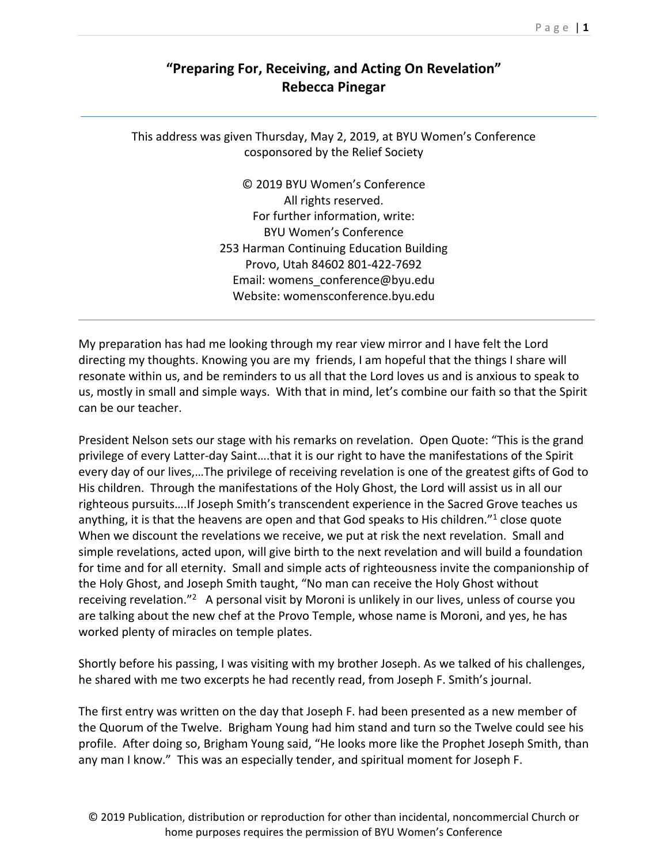## **"Preparing For, Receiving, and Acting On Revelation" Rebecca Pinegar**

## This address was given Thursday, May 2, 2019, at BYU Women's Conference cosponsored by the Relief Society

© 2019 BYU Women's Conference All rights reserved. For further information, write: BYU Women's Conference 253 Harman Continuing Education Building Provo, Utah 84602 801‐422‐7692 Email: womens\_conference@byu.edu Website: womensconference.byu.edu

My preparation has had me looking through my rear view mirror and I have felt the Lord directing my thoughts. Knowing you are my friends, I am hopeful that the things I share will resonate within us, and be reminders to us all that the Lord loves us and is anxious to speak to us, mostly in small and simple ways. With that in mind, let's combine our faith so that the Spirit can be our teacher.

President Nelson sets our stage with his remarks on revelation. Open Quote: "This is the grand privilege of every Latter‐day Saint….that it is our right to have the manifestations of the Spirit every day of our lives,…The privilege of receiving revelation is one of the greatest gifts of God to His children. Through the manifestations of the Holy Ghost, the Lord will assist us in all our righteous pursuits….If Joseph Smith's transcendent experience in the Sacred Grove teaches us anything, it is that the heavens are open and that God speaks to His children."1 close quote When we discount the revelations we receive, we put at risk the next revelation. Small and simple revelations, acted upon, will give birth to the next revelation and will build a foundation for time and for all eternity. Small and simple acts of righteousness invite the companionship of the Holy Ghost, and Joseph Smith taught, "No man can receive the Holy Ghost without receiving revelation."<sup>2</sup> A personal visit by Moroni is unlikely in our lives, unless of course you are talking about the new chef at the Provo Temple, whose name is Moroni, and yes, he has worked plenty of miracles on temple plates.

Shortly before his passing, I was visiting with my brother Joseph. As we talked of his challenges, he shared with me two excerpts he had recently read, from Joseph F. Smith's journal.

The first entry was written on the day that Joseph F. had been presented as a new member of the Quorum of the Twelve. Brigham Young had him stand and turn so the Twelve could see his profile. After doing so, Brigham Young said, "He looks more like the Prophet Joseph Smith, than any man I know." This was an especially tender, and spiritual moment for Joseph F.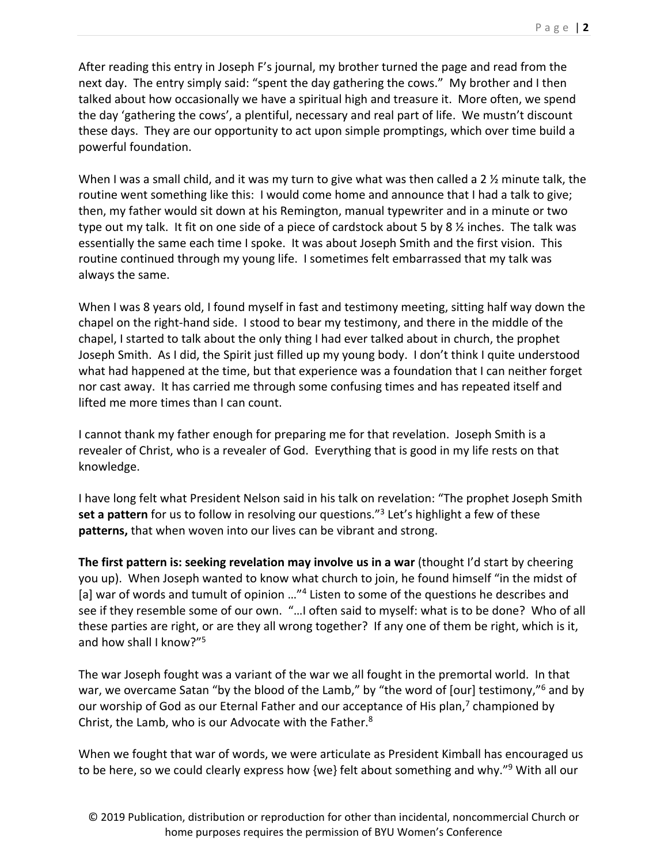After reading this entry in Joseph F's journal, my brother turned the page and read from the next day. The entry simply said: "spent the day gathering the cows." My brother and I then talked about how occasionally we have a spiritual high and treasure it. More often, we spend the day 'gathering the cows', a plentiful, necessary and real part of life. We mustn't discount these days. They are our opportunity to act upon simple promptings, which over time build a powerful foundation.

When I was a small child, and it was my turn to give what was then called a 2 % minute talk, the routine went something like this: I would come home and announce that I had a talk to give; then, my father would sit down at his Remington, manual typewriter and in a minute or two type out my talk. It fit on one side of a piece of cardstock about 5 by 8 ½ inches. The talk was essentially the same each time I spoke. It was about Joseph Smith and the first vision. This routine continued through my young life. I sometimes felt embarrassed that my talk was always the same.

When I was 8 years old, I found myself in fast and testimony meeting, sitting half way down the chapel on the right‐hand side. I stood to bear my testimony, and there in the middle of the chapel, I started to talk about the only thing I had ever talked about in church, the prophet Joseph Smith. As I did, the Spirit just filled up my young body. I don't think I quite understood what had happened at the time, but that experience was a foundation that I can neither forget nor cast away. It has carried me through some confusing times and has repeated itself and lifted me more times than I can count.

I cannot thank my father enough for preparing me for that revelation. Joseph Smith is a revealer of Christ, who is a revealer of God. Everything that is good in my life rests on that knowledge.

I have long felt what President Nelson said in his talk on revelation: "The prophet Joseph Smith **set a pattern** for us to follow in resolving our questions."3 Let's highlight a few of these **patterns,** that when woven into our lives can be vibrant and strong.

**The first pattern is: seeking revelation may involve us in a war** (thought I'd start by cheering you up). When Joseph wanted to know what church to join, he found himself "in the midst of [a] war of words and tumult of opinion ..."<sup>4</sup> Listen to some of the questions he describes and see if they resemble some of our own. "…I often said to myself: what is to be done? Who of all these parties are right, or are they all wrong together? If any one of them be right, which is it, and how shall I know?"5

The war Joseph fought was a variant of the war we all fought in the premortal world. In that war, we overcame Satan "by the blood of the Lamb," by "the word of [our] testimony,"<sup>6</sup> and by our worship of God as our Eternal Father and our acceptance of His plan,<sup>7</sup> championed by Christ, the Lamb, who is our Advocate with the Father.<sup>8</sup>

When we fought that war of words, we were articulate as President Kimball has encouraged us to be here, so we could clearly express how {we} felt about something and why."<sup>9</sup> With all our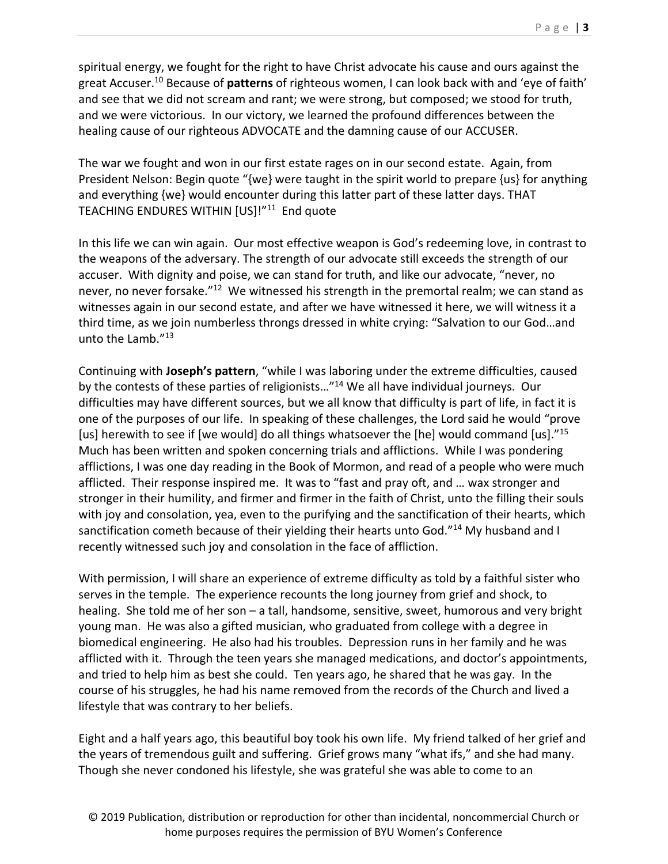spiritual energy, we fought for the right to have Christ advocate his cause and ours against the great Accuser.10 Because of **patterns** of righteous women, I can look back with and 'eye of faith' and see that we did not scream and rant; we were strong, but composed; we stood for truth, and we were victorious. In our victory, we learned the profound differences between the healing cause of our righteous ADVOCATE and the damning cause of our ACCUSER.

The war we fought and won in our first estate rages on in our second estate. Again, from President Nelson: Begin quote "{we} were taught in the spirit world to prepare {us} for anything and everything {we} would encounter during this latter part of these latter days. THAT TEACHING ENDURES WITHIN [US]!"<sup>11</sup> End quote

In this life we can win again. Our most effective weapon is God's redeeming love, in contrast to the weapons of the adversary. The strength of our advocate still exceeds the strength of our accuser. With dignity and poise, we can stand for truth, and like our advocate, "never, no never, no never forsake."<sup>12</sup> We witnessed his strength in the premortal realm; we can stand as witnesses again in our second estate, and after we have witnessed it here, we will witness it a third time, as we join numberless throngs dressed in white crying: "Salvation to our God…and unto the Lamb."13

Continuing with **Joseph's pattern**, "while I was laboring under the extreme difficulties, caused by the contests of these parties of religionists…"14 We all have individual journeys. Our difficulties may have different sources, but we all know that difficulty is part of life, in fact it is one of the purposes of our life. In speaking of these challenges, the Lord said he would "prove [us] herewith to see if [we would] do all things whatsoever the [he] would command [us]."<sup>15</sup> Much has been written and spoken concerning trials and afflictions. While I was pondering afflictions, I was one day reading in the Book of Mormon, and read of a people who were much afflicted. Their response inspired me. It was to "fast and pray oft, and … wax stronger and stronger in their humility, and firmer and firmer in the faith of Christ, unto the filling their souls with joy and consolation, yea, even to the purifying and the sanctification of their hearts, which sanctification cometh because of their yielding their hearts unto God."14 My husband and I recently witnessed such joy and consolation in the face of affliction.

With permission, I will share an experience of extreme difficulty as told by a faithful sister who serves in the temple. The experience recounts the long journey from grief and shock, to healing. She told me of her son – a tall, handsome, sensitive, sweet, humorous and very bright young man. He was also a gifted musician, who graduated from college with a degree in biomedical engineering. He also had his troubles. Depression runs in her family and he was afflicted with it. Through the teen years she managed medications, and doctor's appointments, and tried to help him as best she could. Ten years ago, he shared that he was gay. In the course of his struggles, he had his name removed from the records of the Church and lived a lifestyle that was contrary to her beliefs.

Eight and a half years ago, this beautiful boy took his own life. My friend talked of her grief and the years of tremendous guilt and suffering. Grief grows many "what ifs," and she had many. Though she never condoned his lifestyle, she was grateful she was able to come to an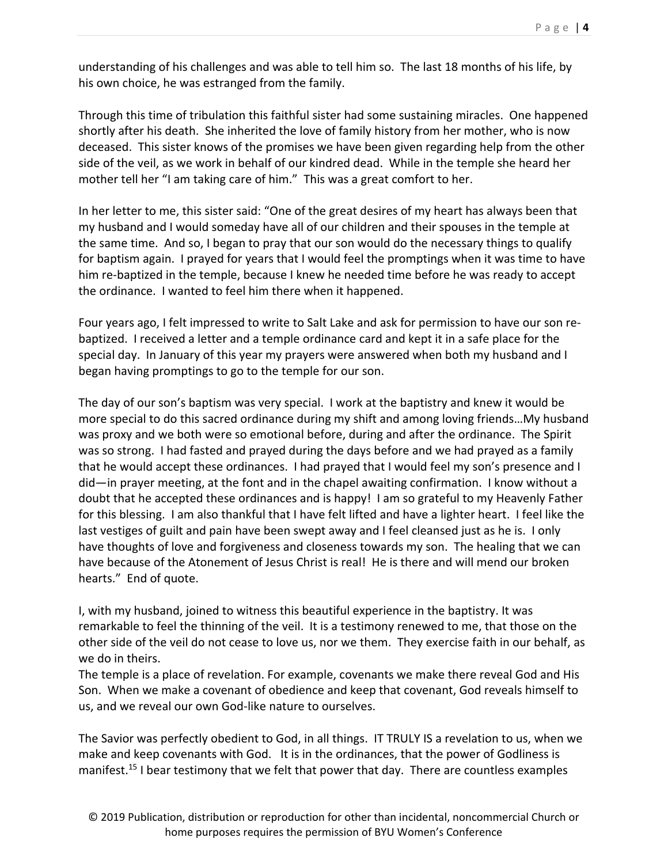understanding of his challenges and was able to tell him so. The last 18 months of his life, by his own choice, he was estranged from the family.

Through this time of tribulation this faithful sister had some sustaining miracles. One happened shortly after his death. She inherited the love of family history from her mother, who is now deceased. This sister knows of the promises we have been given regarding help from the other side of the veil, as we work in behalf of our kindred dead. While in the temple she heard her mother tell her "I am taking care of him." This was a great comfort to her.

In her letter to me, this sister said: "One of the great desires of my heart has always been that my husband and I would someday have all of our children and their spouses in the temple at the same time. And so, I began to pray that our son would do the necessary things to qualify for baptism again. I prayed for years that I would feel the promptings when it was time to have him re-baptized in the temple, because I knew he needed time before he was ready to accept the ordinance. I wanted to feel him there when it happened.

Four years ago, I felt impressed to write to Salt Lake and ask for permission to have our son re‐ baptized. I received a letter and a temple ordinance card and kept it in a safe place for the special day. In January of this year my prayers were answered when both my husband and I began having promptings to go to the temple for our son.

The day of our son's baptism was very special. I work at the baptistry and knew it would be more special to do this sacred ordinance during my shift and among loving friends…My husband was proxy and we both were so emotional before, during and after the ordinance. The Spirit was so strong. I had fasted and prayed during the days before and we had prayed as a family that he would accept these ordinances. I had prayed that I would feel my son's presence and I did—in prayer meeting, at the font and in the chapel awaiting confirmation. I know without a doubt that he accepted these ordinances and is happy! I am so grateful to my Heavenly Father for this blessing. I am also thankful that I have felt lifted and have a lighter heart. I feel like the last vestiges of guilt and pain have been swept away and I feel cleansed just as he is. I only have thoughts of love and forgiveness and closeness towards my son. The healing that we can have because of the Atonement of Jesus Christ is real! He is there and will mend our broken hearts." End of quote.

I, with my husband, joined to witness this beautiful experience in the baptistry. It was remarkable to feel the thinning of the veil. It is a testimony renewed to me, that those on the other side of the veil do not cease to love us, nor we them. They exercise faith in our behalf, as we do in theirs.

The temple is a place of revelation. For example, covenants we make there reveal God and His Son. When we make a covenant of obedience and keep that covenant, God reveals himself to us, and we reveal our own God‐like nature to ourselves.

The Savior was perfectly obedient to God, in all things. IT TRULY IS a revelation to us, when we make and keep covenants with God. It is in the ordinances, that the power of Godliness is manifest.<sup>15</sup> I bear testimony that we felt that power that day. There are countless examples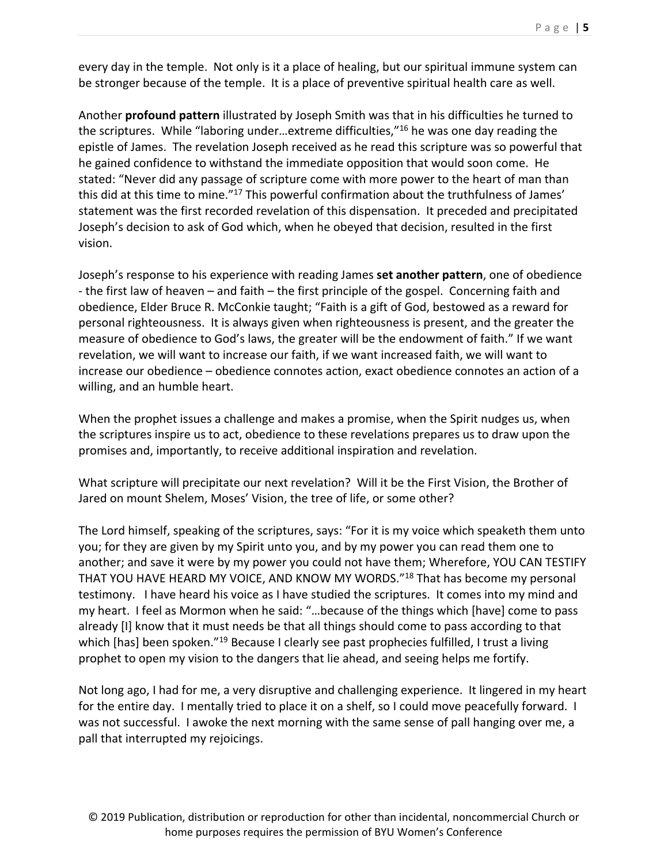every day in the temple. Not only is it a place of healing, but our spiritual immune system can be stronger because of the temple. It is a place of preventive spiritual health care as well.

Another **profound pattern** illustrated by Joseph Smith was that in his difficulties he turned to the scriptures. While "laboring under…extreme difficulties,"16 he was one day reading the epistle of James. The revelation Joseph received as he read this scripture was so powerful that he gained confidence to withstand the immediate opposition that would soon come. He stated: "Never did any passage of scripture come with more power to the heart of man than this did at this time to mine."<sup>17</sup> This powerful confirmation about the truthfulness of James' statement was the first recorded revelation of this dispensation. It preceded and precipitated Joseph's decision to ask of God which, when he obeyed that decision, resulted in the first vision.

Joseph's response to his experience with reading James **set another pattern**, one of obedience ‐ the first law of heaven – and faith – the first principle of the gospel. Concerning faith and obedience, Elder Bruce R. McConkie taught; "Faith is a gift of God, bestowed as a reward for personal righteousness. It is always given when righteousness is present, and the greater the measure of obedience to God's laws, the greater will be the endowment of faith." If we want revelation, we will want to increase our faith, if we want increased faith, we will want to increase our obedience – obedience connotes action, exact obedience connotes an action of a willing, and an humble heart.

When the prophet issues a challenge and makes a promise, when the Spirit nudges us, when the scriptures inspire us to act, obedience to these revelations prepares us to draw upon the promises and, importantly, to receive additional inspiration and revelation.

What scripture will precipitate our next revelation? Will it be the First Vision, the Brother of Jared on mount Shelem, Moses' Vision, the tree of life, or some other?

The Lord himself, speaking of the scriptures, says: "For it is my voice which speaketh them unto you; for they are given by my Spirit unto you, and by my power you can read them one to another; and save it were by my power you could not have them; Wherefore, YOU CAN TESTIFY THAT YOU HAVE HEARD MY VOICE, AND KNOW MY WORDS."18 That has become my personal testimony. I have heard his voice as I have studied the scriptures. It comes into my mind and my heart. I feel as Mormon when he said: "…because of the things which [have] come to pass already [I] know that it must needs be that all things should come to pass according to that which [has] been spoken."<sup>19</sup> Because I clearly see past prophecies fulfilled, I trust a living prophet to open my vision to the dangers that lie ahead, and seeing helps me fortify.

Not long ago, I had for me, a very disruptive and challenging experience. It lingered in my heart for the entire day. I mentally tried to place it on a shelf, so I could move peacefully forward. I was not successful. I awoke the next morning with the same sense of pall hanging over me, a pall that interrupted my rejoicings.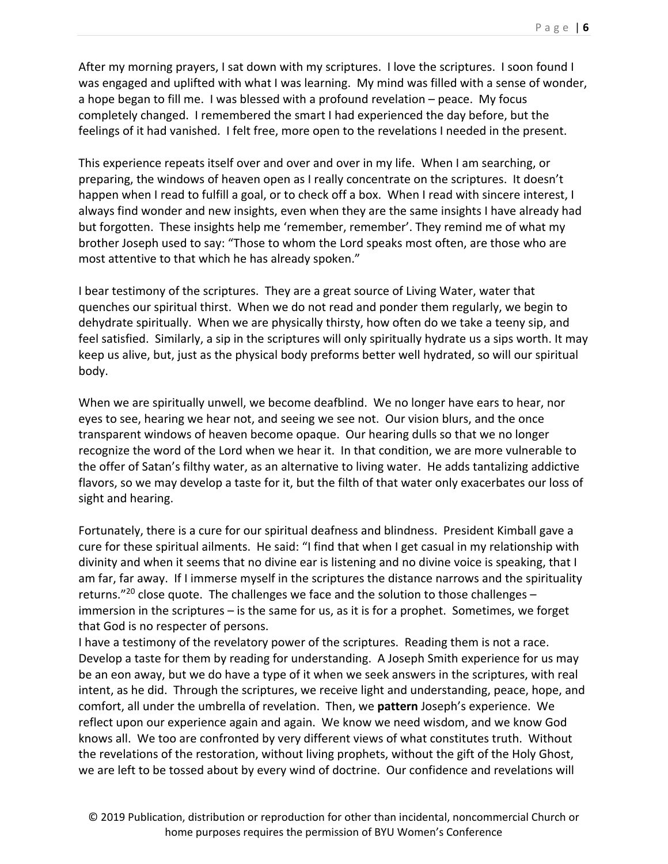After my morning prayers, I sat down with my scriptures. I love the scriptures. I soon found I was engaged and uplifted with what I was learning. My mind was filled with a sense of wonder, a hope began to fill me. I was blessed with a profound revelation – peace. My focus completely changed. I remembered the smart I had experienced the day before, but the feelings of it had vanished. I felt free, more open to the revelations I needed in the present.

This experience repeats itself over and over and over in my life. When I am searching, or preparing, the windows of heaven open as I really concentrate on the scriptures. It doesn't happen when I read to fulfill a goal, or to check off a box. When I read with sincere interest, I always find wonder and new insights, even when they are the same insights I have already had but forgotten. These insights help me 'remember, remember'. They remind me of what my brother Joseph used to say: "Those to whom the Lord speaks most often, are those who are most attentive to that which he has already spoken."

I bear testimony of the scriptures. They are a great source of Living Water, water that quenches our spiritual thirst. When we do not read and ponder them regularly, we begin to dehydrate spiritually. When we are physically thirsty, how often do we take a teeny sip, and feel satisfied. Similarly, a sip in the scriptures will only spiritually hydrate us a sips worth. It may keep us alive, but, just as the physical body preforms better well hydrated, so will our spiritual body.

When we are spiritually unwell, we become deafblind. We no longer have ears to hear, nor eyes to see, hearing we hear not, and seeing we see not. Our vision blurs, and the once transparent windows of heaven become opaque. Our hearing dulls so that we no longer recognize the word of the Lord when we hear it. In that condition, we are more vulnerable to the offer of Satan's filthy water, as an alternative to living water. He adds tantalizing addictive flavors, so we may develop a taste for it, but the filth of that water only exacerbates our loss of sight and hearing.

Fortunately, there is a cure for our spiritual deafness and blindness. President Kimball gave a cure for these spiritual ailments. He said: "I find that when I get casual in my relationship with divinity and when it seems that no divine ear is listening and no divine voice is speaking, that I am far, far away. If I immerse myself in the scriptures the distance narrows and the spirituality returns."<sup>20</sup> close quote. The challenges we face and the solution to those challenges – immersion in the scriptures – is the same for us, as it is for a prophet. Sometimes, we forget that God is no respecter of persons.

I have a testimony of the revelatory power of the scriptures. Reading them is not a race. Develop a taste for them by reading for understanding. A Joseph Smith experience for us may be an eon away, but we do have a type of it when we seek answers in the scriptures, with real intent, as he did. Through the scriptures, we receive light and understanding, peace, hope, and comfort, all under the umbrella of revelation. Then, we **pattern** Joseph's experience. We reflect upon our experience again and again. We know we need wisdom, and we know God knows all. We too are confronted by very different views of what constitutes truth. Without the revelations of the restoration, without living prophets, without the gift of the Holy Ghost, we are left to be tossed about by every wind of doctrine. Our confidence and revelations will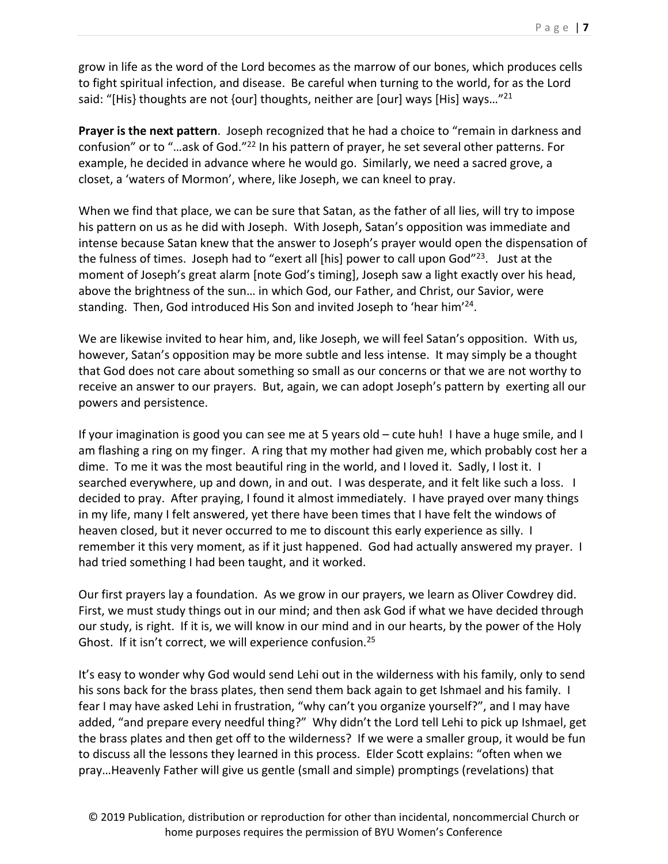grow in life as the word of the Lord becomes as the marrow of our bones, which produces cells to fight spiritual infection, and disease. Be careful when turning to the world, for as the Lord said: "[His} thoughts are not {our] thoughts, neither are [our] ways [His] ways..."<sup>21</sup>

**Prayer is the next pattern**. Joseph recognized that he had a choice to "remain in darkness and confusion" or to "…ask of God."22 In his pattern of prayer, he set several other patterns. For example, he decided in advance where he would go. Similarly, we need a sacred grove, a closet, a 'waters of Mormon', where, like Joseph, we can kneel to pray.

When we find that place, we can be sure that Satan, as the father of all lies, will try to impose his pattern on us as he did with Joseph. With Joseph, Satan's opposition was immediate and intense because Satan knew that the answer to Joseph's prayer would open the dispensation of the fulness of times. Joseph had to "exert all [his] power to call upon God" $^{23}$ . Just at the moment of Joseph's great alarm [note God's timing], Joseph saw a light exactly over his head, above the brightness of the sun… in which God, our Father, and Christ, our Savior, were standing. Then, God introduced His Son and invited Joseph to 'hear him'24.

We are likewise invited to hear him, and, like Joseph, we will feel Satan's opposition. With us, however, Satan's opposition may be more subtle and less intense. It may simply be a thought that God does not care about something so small as our concerns or that we are not worthy to receive an answer to our prayers. But, again, we can adopt Joseph's pattern by exerting all our powers and persistence.

If your imagination is good you can see me at 5 years old – cute huh! I have a huge smile, and I am flashing a ring on my finger. A ring that my mother had given me, which probably cost her a dime. To me it was the most beautiful ring in the world, and I loved it. Sadly, I lost it. I searched everywhere, up and down, in and out. I was desperate, and it felt like such a loss. I decided to pray. After praying, I found it almost immediately. I have prayed over many things in my life, many I felt answered, yet there have been times that I have felt the windows of heaven closed, but it never occurred to me to discount this early experience as silly. I remember it this very moment, as if it just happened. God had actually answered my prayer. I had tried something I had been taught, and it worked.

Our first prayers lay a foundation. As we grow in our prayers, we learn as Oliver Cowdrey did. First, we must study things out in our mind; and then ask God if what we have decided through our study, is right. If it is, we will know in our mind and in our hearts, by the power of the Holy Ghost. If it isn't correct, we will experience confusion.<sup>25</sup>

It's easy to wonder why God would send Lehi out in the wilderness with his family, only to send his sons back for the brass plates, then send them back again to get Ishmael and his family. I fear I may have asked Lehi in frustration, "why can't you organize yourself?", and I may have added, "and prepare every needful thing?" Why didn't the Lord tell Lehi to pick up Ishmael, get the brass plates and then get off to the wilderness? If we were a smaller group, it would be fun to discuss all the lessons they learned in this process. Elder Scott explains: "often when we pray…Heavenly Father will give us gentle (small and simple) promptings (revelations) that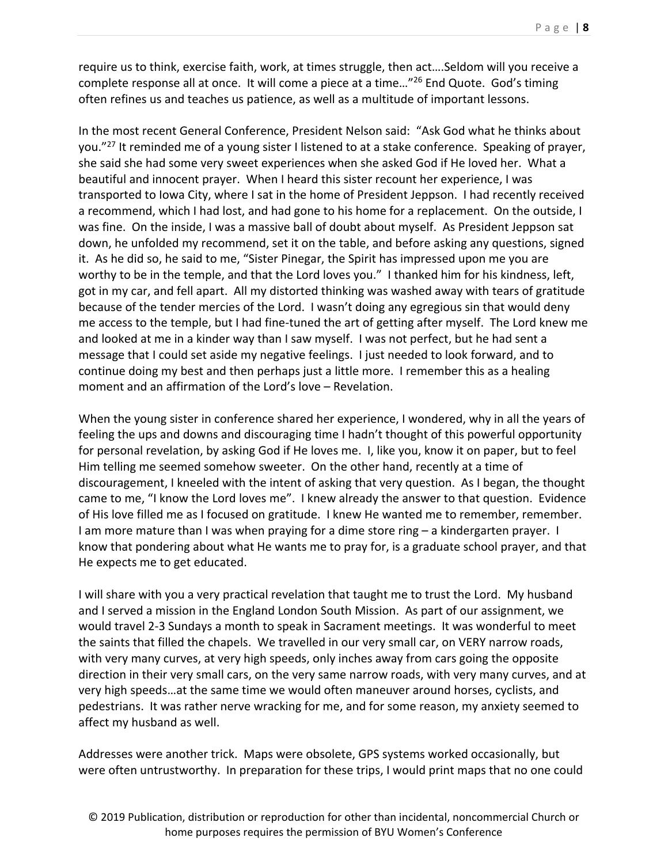require us to think, exercise faith, work, at times struggle, then act….Seldom will you receive a complete response all at once. It will come a piece at a time…"26 End Quote. God's timing often refines us and teaches us patience, as well as a multitude of important lessons.

In the most recent General Conference, President Nelson said: "Ask God what he thinks about you."<sup>27</sup> It reminded me of a young sister I listened to at a stake conference. Speaking of prayer, she said she had some very sweet experiences when she asked God if He loved her. What a beautiful and innocent prayer. When I heard this sister recount her experience, I was transported to Iowa City, where I sat in the home of President Jeppson. I had recently received a recommend, which I had lost, and had gone to his home for a replacement. On the outside, I was fine. On the inside, I was a massive ball of doubt about myself. As President Jeppson sat down, he unfolded my recommend, set it on the table, and before asking any questions, signed it. As he did so, he said to me, "Sister Pinegar, the Spirit has impressed upon me you are worthy to be in the temple, and that the Lord loves you." I thanked him for his kindness, left, got in my car, and fell apart. All my distorted thinking was washed away with tears of gratitude because of the tender mercies of the Lord. I wasn't doing any egregious sin that would deny me access to the temple, but I had fine-tuned the art of getting after myself. The Lord knew me and looked at me in a kinder way than I saw myself. I was not perfect, but he had sent a message that I could set aside my negative feelings. I just needed to look forward, and to continue doing my best and then perhaps just a little more. I remember this as a healing moment and an affirmation of the Lord's love – Revelation.

When the young sister in conference shared her experience, I wondered, why in all the years of feeling the ups and downs and discouraging time I hadn't thought of this powerful opportunity for personal revelation, by asking God if He loves me. I, like you, know it on paper, but to feel Him telling me seemed somehow sweeter. On the other hand, recently at a time of discouragement, I kneeled with the intent of asking that very question. As I began, the thought came to me, "I know the Lord loves me". I knew already the answer to that question. Evidence of His love filled me as I focused on gratitude. I knew He wanted me to remember, remember. I am more mature than I was when praying for a dime store ring – a kindergarten prayer. I know that pondering about what He wants me to pray for, is a graduate school prayer, and that He expects me to get educated.

I will share with you a very practical revelation that taught me to trust the Lord. My husband and I served a mission in the England London South Mission. As part of our assignment, we would travel 2‐3 Sundays a month to speak in Sacrament meetings. It was wonderful to meet the saints that filled the chapels. We travelled in our very small car, on VERY narrow roads, with very many curves, at very high speeds, only inches away from cars going the opposite direction in their very small cars, on the very same narrow roads, with very many curves, and at very high speeds…at the same time we would often maneuver around horses, cyclists, and pedestrians. It was rather nerve wracking for me, and for some reason, my anxiety seemed to affect my husband as well.

Addresses were another trick. Maps were obsolete, GPS systems worked occasionally, but were often untrustworthy. In preparation for these trips, I would print maps that no one could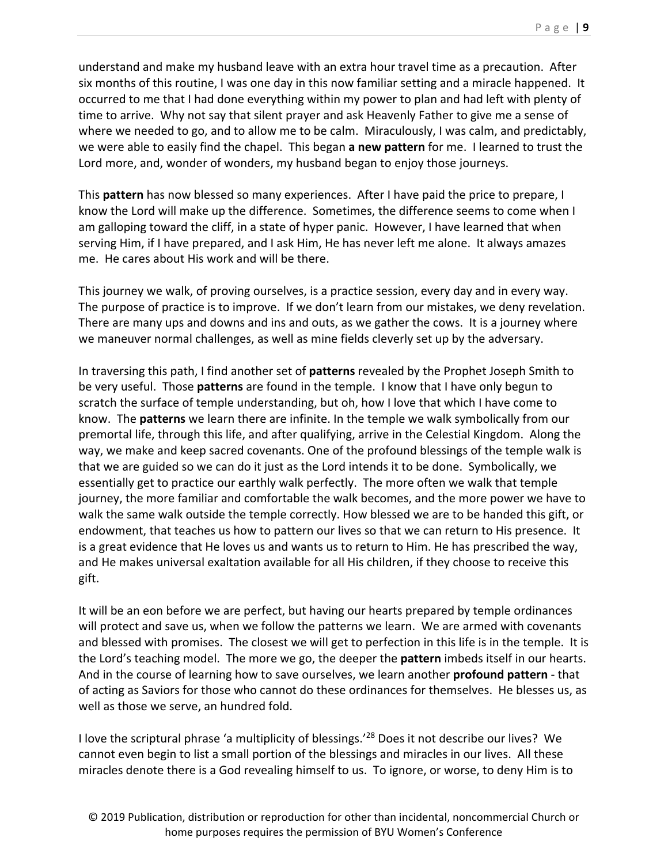understand and make my husband leave with an extra hour travel time as a precaution. After six months of this routine, I was one day in this now familiar setting and a miracle happened. It occurred to me that I had done everything within my power to plan and had left with plenty of time to arrive. Why not say that silent prayer and ask Heavenly Father to give me a sense of where we needed to go, and to allow me to be calm. Miraculously, I was calm, and predictably, we were able to easily find the chapel. This began **a new pattern** for me. I learned to trust the Lord more, and, wonder of wonders, my husband began to enjoy those journeys.

This **pattern** has now blessed so many experiences. After I have paid the price to prepare, I know the Lord will make up the difference. Sometimes, the difference seems to come when I am galloping toward the cliff, in a state of hyper panic. However, I have learned that when serving Him, if I have prepared, and I ask Him, He has never left me alone. It always amazes me. He cares about His work and will be there.

This journey we walk, of proving ourselves, is a practice session, every day and in every way. The purpose of practice is to improve. If we don't learn from our mistakes, we deny revelation. There are many ups and downs and ins and outs, as we gather the cows. It is a journey where we maneuver normal challenges, as well as mine fields cleverly set up by the adversary.

In traversing this path, I find another set of **patterns** revealed by the Prophet Joseph Smith to be very useful. Those **patterns** are found in the temple. I know that I have only begun to scratch the surface of temple understanding, but oh, how I love that which I have come to know. The **patterns** we learn there are infinite. In the temple we walk symbolically from our premortal life, through this life, and after qualifying, arrive in the Celestial Kingdom. Along the way, we make and keep sacred covenants. One of the profound blessings of the temple walk is that we are guided so we can do it just as the Lord intends it to be done. Symbolically, we essentially get to practice our earthly walk perfectly. The more often we walk that temple journey, the more familiar and comfortable the walk becomes, and the more power we have to walk the same walk outside the temple correctly. How blessed we are to be handed this gift, or endowment, that teaches us how to pattern our lives so that we can return to His presence. It is a great evidence that He loves us and wants us to return to Him. He has prescribed the way, and He makes universal exaltation available for all His children, if they choose to receive this gift.

It will be an eon before we are perfect, but having our hearts prepared by temple ordinances will protect and save us, when we follow the patterns we learn. We are armed with covenants and blessed with promises. The closest we will get to perfection in this life is in the temple. It is the Lord's teaching model. The more we go, the deeper the **pattern** imbeds itself in our hearts. And in the course of learning how to save ourselves, we learn another **profound pattern** ‐ that of acting as Saviors for those who cannot do these ordinances for themselves. He blesses us, as well as those we serve, an hundred fold.

I love the scriptural phrase 'a multiplicity of blessings.'28 Does it not describe our lives? We cannot even begin to list a small portion of the blessings and miracles in our lives. All these miracles denote there is a God revealing himself to us. To ignore, or worse, to deny Him is to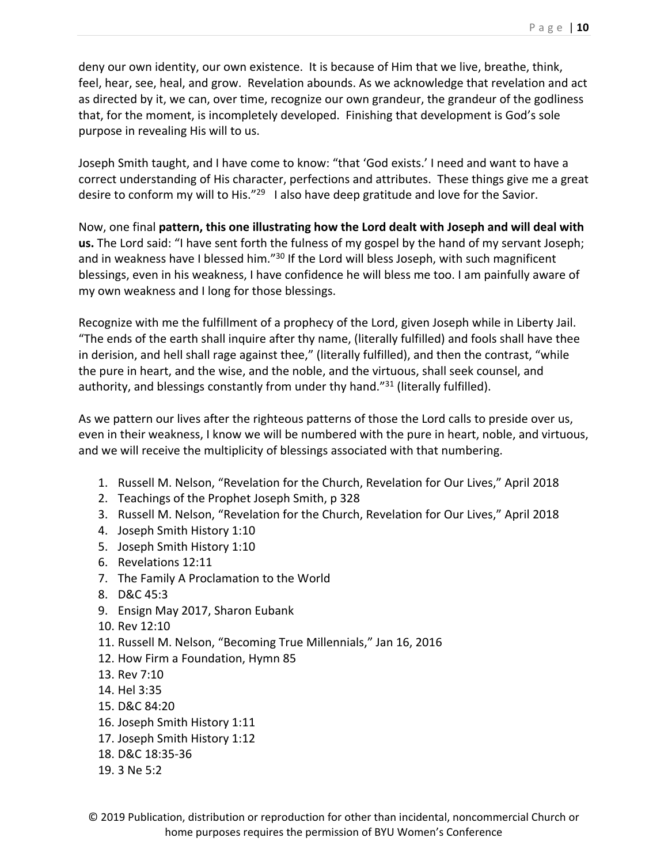deny our own identity, our own existence. It is because of Him that we live, breathe, think, feel, hear, see, heal, and grow. Revelation abounds. As we acknowledge that revelation and act as directed by it, we can, over time, recognize our own grandeur, the grandeur of the godliness that, for the moment, is incompletely developed. Finishing that development is God's sole purpose in revealing His will to us.

Joseph Smith taught, and I have come to know: "that 'God exists.' I need and want to have a correct understanding of His character, perfections and attributes. These things give me a great desire to conform my will to His."<sup>29</sup> I also have deep gratitude and love for the Savior.

Now, one final **pattern, this one illustrating how the Lord dealt with Joseph and will deal with us.** The Lord said: "I have sent forth the fulness of my gospel by the hand of my servant Joseph; and in weakness have I blessed him."<sup>30</sup> If the Lord will bless Joseph, with such magnificent blessings, even in his weakness, I have confidence he will bless me too. I am painfully aware of my own weakness and I long for those blessings.

Recognize with me the fulfillment of a prophecy of the Lord, given Joseph while in Liberty Jail. "The ends of the earth shall inquire after thy name, (literally fulfilled) and fools shall have thee in derision, and hell shall rage against thee," (literally fulfilled), and then the contrast, "while the pure in heart, and the wise, and the noble, and the virtuous, shall seek counsel, and authority, and blessings constantly from under thy hand."<sup>31</sup> (literally fulfilled).

As we pattern our lives after the righteous patterns of those the Lord calls to preside over us, even in their weakness, I know we will be numbered with the pure in heart, noble, and virtuous, and we will receive the multiplicity of blessings associated with that numbering.

- 1. Russell M. Nelson, "Revelation for the Church, Revelation for Our Lives," April 2018
- 2. Teachings of the Prophet Joseph Smith, p 328
- 3. Russell M. Nelson, "Revelation for the Church, Revelation for Our Lives," April 2018
- 4. Joseph Smith History 1:10
- 5. Joseph Smith History 1:10
- 6. Revelations 12:11
- 7. The Family A Proclamation to the World
- 8. D&C 45:3
- 9. Ensign May 2017, Sharon Eubank
- 10. Rev 12:10
- 11. Russell M. Nelson, "Becoming True Millennials," Jan 16, 2016
- 12. How Firm a Foundation, Hymn 85
- 13. Rev 7:10
- 14. Hel 3:35
- 15. D&C 84:20
- 16. Joseph Smith History 1:11
- 17. Joseph Smith History 1:12
- 18. D&C 18:35‐36
- 19. 3 Ne 5:2